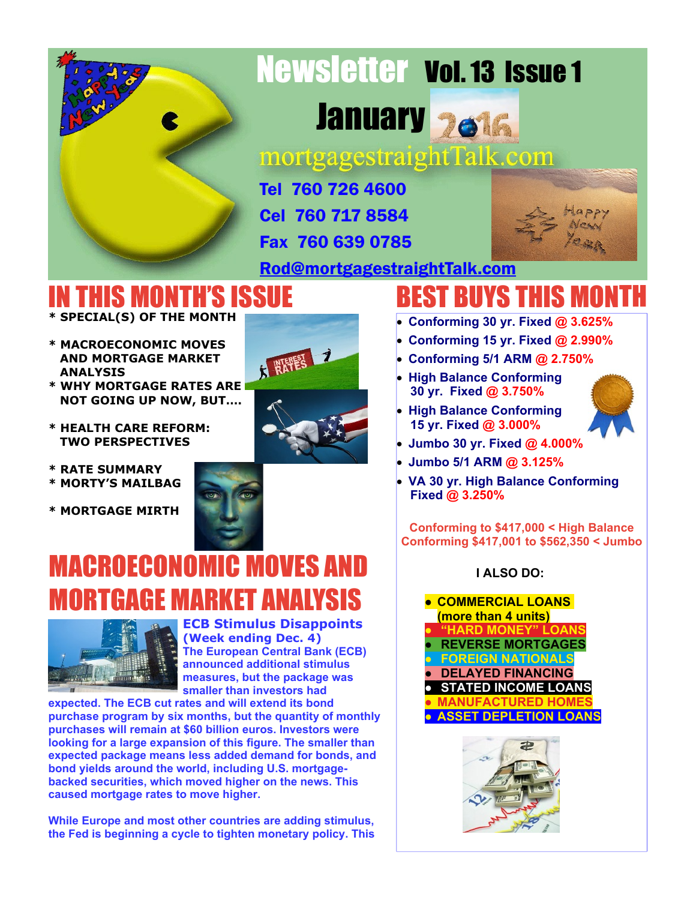

## Newsletter Vol. 13 Issue 1

# January <sub>2016</sub>

mortgagestraightTalk.com

Tel 760 726 4600 Cel 760 717 8584 Fax 760 639 0785



[Rod@mortgagestraightTalk.com](mailto:Rod@MortgageStraightTalk.com)

## IN THIS MONTH'S ISSUE

- **\* SPECIAL(S) OF THE MONTH**
- **\* MACROECONOMIC MOVES AND MORTGAGE MARKET ANALYSIS**
- **\* WHY MORTGAGE RATES ARE NOT GOING UP NOW, BUT….**
- **\* HEALTH CARE REFORM: TWO PERSPECTIVES**
- **\* RATE SUMMARY**
- **\* MORTY'S MAILBAG**
- **\* MORTGAGE MIRTH**



## BEST BUYS THIS MONTH

- · **Conforming 30 yr. Fixed @ 3.625%**
- · **Conforming 15 yr. Fixed @ 2.990%**
- · **Conforming 5/1 ARM @ 2.750%**
- · **High Balance Conforming 30 yr. Fixed @ 3.750%**
- · **High Balance Conforming 15 yr. Fixed @ 3.000%**



- · **Jumbo 30 yr. Fixed @ 4.000%**
- · **Jumbo 5/1 ARM @ 3.125%**
- · **VA 30 yr. High Balance Conforming Fixed @ 3.250%**

**Conforming to \$417,000 < High Balance Conforming \$417,001 to \$562,350 < Jumbo**

### **I ALSO DO:**







**ECB Stimulus Disappoints (Week ending Dec. 4) The European Central Bank (ECB) announced additional stimulus measures, but the package was smaller than investors had**

**expected. The ECB cut rates and will extend its bond purchase program by six months, but the quantity of monthly purchases will remain at \$60 billion euros. Investors were looking for a large expansion of this figure. The smaller than expected package means less added demand for bonds, and bond yields around the world, including U.S. mortgagebacked securities, which moved higher on the news. This caused mortgage rates to move higher.**

MACROECONOMIC MOVES AND

MORTGAGE MARKET ANALYSIS

**While Europe and most other countries are adding stimulus, the Fed is beginning a cycle to tighten monetary policy. This**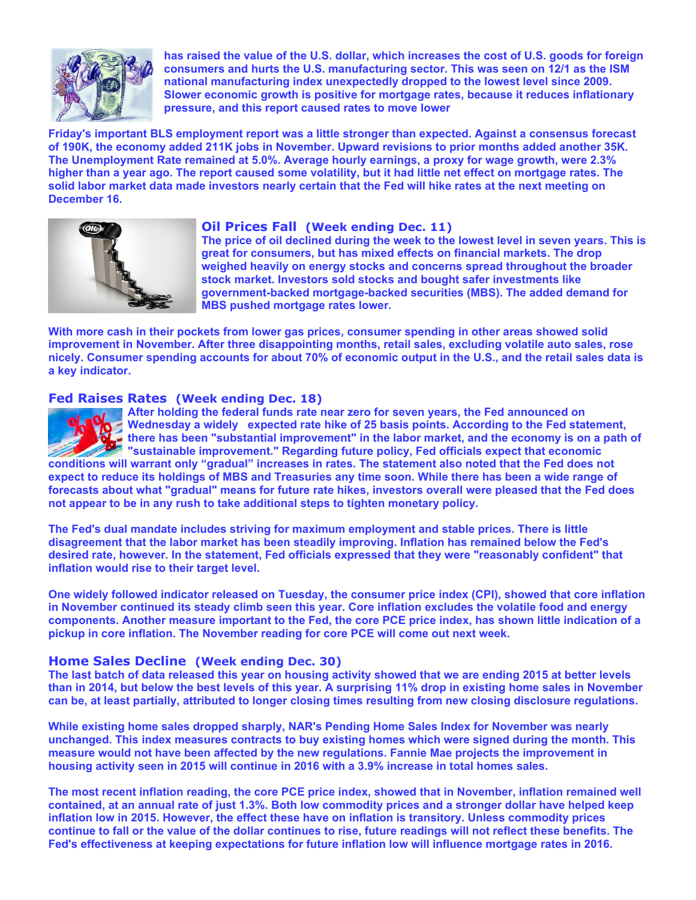

**has raised the value of the U.S. dollar, which increases the cost of U.S. goods for foreign consumers and hurts the U.S. manufacturing sector. This was seen on 12/1 as the ISM national manufacturing index unexpectedly dropped to the lowest level since 2009. Slower economic growth is positive for mortgage rates, because it reduces inflationary pressure, and this report caused rates to move lower**

**Friday's important BLS employment report was a little stronger than expected. Against a consensus forecast of 190K, the economy added 211K jobs in November. Upward revisions to prior months added another 35K. The Unemployment Rate remained at 5.0%. Average hourly earnings, a proxy for wage growth, were 2.3% higher than a year ago. The report caused some volatility, but it had little net effect on mortgage rates. The solid labor market data made investors nearly certain that the Fed will hike rates at the next meeting on December 16.**



#### **Oil Prices Fall (Week ending Dec. 11)**

**The price of oil declined during the week to the lowest level in seven years. This is great for consumers, but has mixed effects on financial markets. The drop weighed heavily on energy stocks and concerns spread throughout the broader stock market. Investors sold stocks and bought safer investments like government-backed mortgage-backed securities (MBS). The added demand for MBS pushed mortgage rates lower.**

**With more cash in their pockets from lower gas prices, consumer spending in other areas showed solid improvement in November. After three disappointing months, retail sales, excluding volatile auto sales, rose nicely. Consumer spending accounts for about 70% of economic output in the U.S., and the retail sales data is a key indicator.**

### **Fed Raises Rates (Week ending Dec. 18)**



**After holding the federal funds rate near zero for seven years, the Fed announced on Wednesday a widely expected rate hike of 25 basis points. According to the Fed statement, there has been "substantial improvement" in the labor market, and the economy is on a path of There has been "substanual improvement."** In the takes that expect that economic<br>"sustainable improvement." Regarding future policy, Fed officials expect that economic

**conditions will warrant only "gradual" increases in rates. The statement also noted that the Fed does not expect to reduce its holdings of MBS and Treasuries any time soon. While there has been a wide range of forecasts about what "gradual" means for future rate hikes, investors overall were pleased that the Fed does not appear to be in any rush to take additional steps to tighten monetary policy.**

**The Fed's dual mandate includes striving for maximum employment and stable prices. There is little disagreement that the labor market has been steadily improving. Inflation has remained below the Fed's desired rate, however. In the statement, Fed officials expressed that they were "reasonably confident" that inflation would rise to their target level.**

**One widely followed indicator released on Tuesday, the consumer price index (CPI), showed that core inflation in November continued its steady climb seen this year. Core inflation excludes the volatile food and energy components. Another measure important to the Fed, the core PCE price index, has shown little indication of a pickup in core inflation. The November reading for core PCE will come out next week.**

#### **Home Sales Decline (Week ending Dec. 30)**

**The last batch of data released this year on housing activity showed that we are ending 2015 at better levels than in 2014, but below the best levels of this year. A surprising 11% drop in existing home sales in November can be, at least partially, attributed to longer closing times resulting from new closing disclosure regulations.**

**While existing home sales dropped sharply, NAR's Pending Home Sales Index for November was nearly unchanged. This index measures contracts to buy existing homes which were signed during the month. This measure would not have been affected by the new regulations. Fannie Mae projects the improvement in housing activity seen in 2015 will continue in 2016 with a 3.9% increase in total homes sales.**

**The most recent inflation reading, the core PCE price index, showed that in November, inflation remained well contained, at an annual rate of just 1.3%. Both low commodity prices and a stronger dollar have helped keep inflation low in 2015. However, the effect these have on inflation is transitory. Unless commodity prices continue to fall or the value of the dollar continues to rise, future readings will not reflect these benefits. The Fed's effectiveness at keeping expectations for future inflation low will influence mortgage rates in 2016.**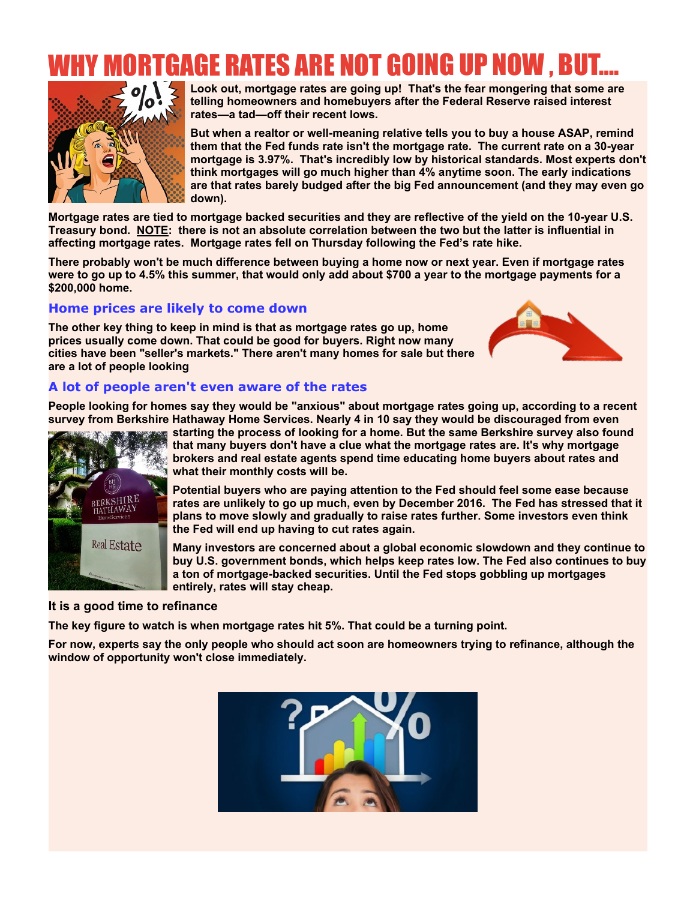## GAGE RATES ARE NOT GOING UP NOW , BUT.



**Look out, mortgage rates are going up! That's the fear mongering that some are telling homeowners and homebuyers after the Federal Reserve raised interest rates—a tad—off their recent lows.**

**But when a realtor or well-meaning relative tells you to buy a house ASAP, remind them that the Fed funds rate isn't the mortgage rate. The current rate on a 30-year mortgage is 3.97%. That's incredibly low by historical standards. Most experts don't think mortgages will go much higher than 4% anytime soon. The early indications are that rates barely budged after the big Fed announcement (and they may even go down).**

**Mortgage rates are tied to mortgage backed securities and they are reflective of the yield on the 10-year U.S. Treasury bond. NOTE: there is not an absolute correlation between the two but the latter is influential in affecting mortgage rates. Mortgage rates fell on Thursday following the Fed's rate hike.**

**There probably won't be much difference between buying a home now or next year. Even if mortgage rates were to go up to 4.5% this summer, that would only add about \$700 a year to the mortgage payments for a \$200,000 home.**

### **Home prices are likely to come down**

**The other key thing to keep in mind is that as mortgage rates go up, home prices usually come down. That could be good for buyers. Right now many cities have been "seller's markets." There aren't many homes for sale but there are a lot of people looking**



### **A lot of people aren't even aware of the rates**

**People looking for homes say they would be "anxious" about mortgage rates going up, according to a recent survey from Berkshire Hathaway Home Services. Nearly 4 in 10 say they would be discouraged from even**



**starting the process of looking for a home. But the same Berkshire survey also found that many buyers don't have a clue what the mortgage rates are. It's why mortgage brokers and real estate agents spend time educating home buyers about rates and what their monthly costs will be.**

**Potential buyers who are paying attention to the Fed should feel some ease because rates are unlikely to go up much, even by December 2016. The Fed has stressed that it plans to move slowly and gradually to raise rates further. Some investors even think the Fed will end up having to cut rates again.**

**Many investors are concerned about a global economic slowdown and they continue to buy U.S. government bonds, which helps keep rates low. The Fed also continues to buy a ton of mortgage-backed securities. Until the Fed stops gobbling up mortgages entirely, rates will stay cheap.**

### **It is a good time to refinance**

**The key figure to watch is when mortgage rates hit 5%. That could be a turning point.**

**For now, experts say the only people who should act soon are homeowners trying to refinance, although the window of opportunity won't close immediately.**

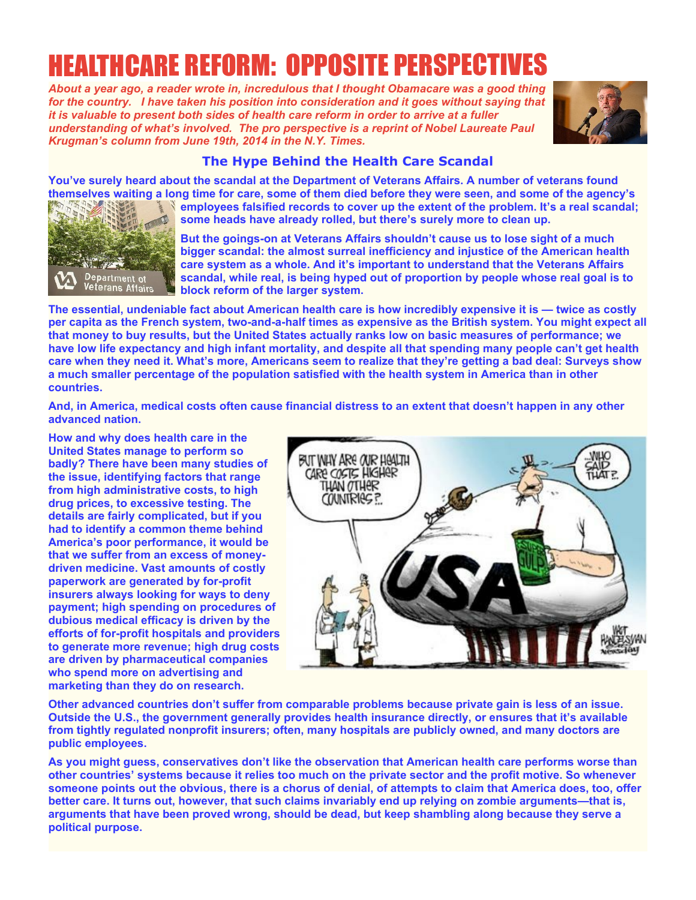## ITHCARF RFFORM: OPPOSITE PERSP

*About a year ago, a reader wrote in, incredulous that I thought Obamacare was a good thing for the country. I have taken his position into consideration and it goes without saying that it is valuable to present both sides of health care reform in order to arrive at a fuller understanding of what's involved. The pro perspective is a reprint of Nobel Laureate Paul Krugman's column from June 19th, 2014 in the N.Y. Times.*



## **The Hype Behind the Health Care Scandal**

**You've surely heard about the scandal at the Department of Veterans Affairs. A number of veterans found themselves waiting a long time for care, some of them died before they were seen, and some of the agency's**



**employees falsified records to cover up the extent of the problem. It's a real scandal; some heads have already rolled, but there's surely more to clean up.**

**But the goings-on at Veterans Affairs shouldn't cause us to lose sight of a much bigger scandal: the almost surreal inefficiency and injustice of the American health care system as a whole. And it's important to understand that the Veterans Affairs scandal, while real, is being hyped out of proportion by people whose real goal is to block reform of the larger system.**

**The essential, undeniable fact about American health care is how incredibly expensive it is — twice as costly per capita as the French system, two-and-a-half times as expensive as the British system. You might expect all that money to buy results, but the United States actually ranks low on basic measures of performance; we have low life expectancy and high infant mortality, and despite all that spending many people can't get health care when they need it. What's more, Americans seem to realize that they're getting a bad deal: Surveys show a much smaller percentage of the population satisfied with the health system in America than in other countries.**

**And, in America, medical costs often cause financial distress to an extent that doesn't happen in any other advanced nation.**

**How and why does health care in the United States manage to perform so badly? There have been many studies of the issue, identifying factors that range from high administrative costs, to high drug prices, to excessive testing. The details are fairly complicated, but if you had to identify a common theme behind America's poor performance, it would be that we suffer from an excess of moneydriven medicine. Vast amounts of costly paperwork are generated by for-profit insurers always looking for ways to deny payment; high spending on procedures of dubious medical efficacy is driven by the efforts of for-profit hospitals and providers to generate more revenue; high drug costs are driven by pharmaceutical companies who spend more on advertising and marketing than they do on research.**



**Other advanced countries don't suffer from comparable problems because private gain is less of an issue. Outside the U.S., the government generally provides health insurance directly, or ensures that it's available from tightly regulated nonprofit insurers; often, many hospitals are publicly owned, and many doctors are public employees.**

**As you might guess, conservatives don't like the observation that American health care performs worse than other countries' systems because it relies too much on the private sector and the profit motive. So whenever someone points out the obvious, there is a chorus of denial, of attempts to claim that America does, too, offer better care. It turns out, however, that such claims invariably end up relying on zombie arguments—that is, arguments that have been proved wrong, should be dead, but keep shambling along because they serve a political purpose.**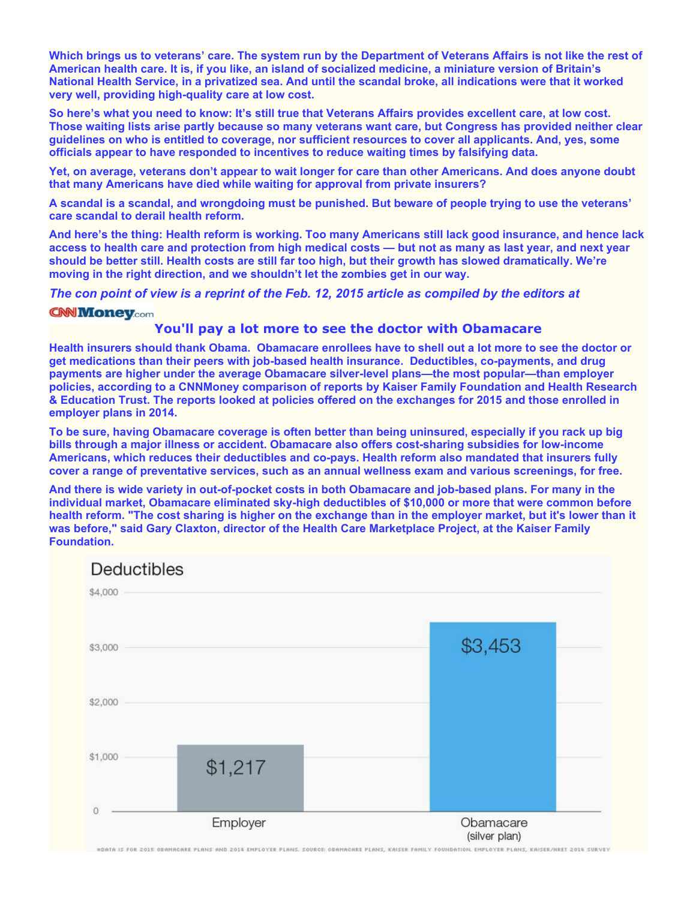**Which brings us to veterans' care. The system run by the Department of Veterans Affairs is not like the rest of American health care. It is, if you like, an island of socialized medicine, a miniature version of Britain's National Health Service, in a privatized sea. And until the scandal broke, all indications were that it worked very well, providing high-quality care at low cost.**

**So here's what you need to know: It's still true that Veterans Affairs provides excellent care, at low cost. Those waiting lists arise partly because so many veterans want care, but Congress has provided neither clear guidelines on who is entitled to coverage, nor sufficient resources to cover all applicants. And, yes, some officials appear to have responded to incentives to reduce waiting times by falsifying data.**

**Yet, on average, veterans don't appear to wait longer for care than other Americans. And does anyone doubt that many Americans have died while waiting for approval from private insurers?**

**A scandal is a scandal, and wrongdoing must be punished. But beware of people trying to use the veterans' care scandal to derail health reform.**

**And here's the thing: Health reform is working. Too many Americans still lack good insurance, and hence lack access to health care and protection from high medical costs — but not as many as last year, and next year should be better still. Health costs are still far too high, but their growth has slowed dramatically. We're moving in the right direction, and we shouldn't let the zombies get in our way.**

*The con point of view is a reprint of the Feb. 12, 2015 article as compiled by the editors at*

#### *CNNMONEY. com*

#### **You'll pay a lot more to see the doctor with Obamacare**

**Health insurers should thank Obama. Obamacare enrollees have to shell out a lot more to see the doctor or get medications than their peers with job-based health insurance. Deductibles, co-payments, and drug payments are higher under the average Obamacare silver-level plans—the most popular—than employer policies, according to a CNNMoney comparison of reports by Kaiser Family Foundation and Health Research & Education Trust. The reports looked at policies offered on the exchanges for 2015 and those enrolled in employer plans in 2014.**

**To be sure, having Obamacare coverage is often better than being uninsured, especially if you rack up big bills through a major illness or accident. Obamacare also offers cost-sharing subsidies for low-income Americans, which reduces their deductibles and co-pays. Health reform also mandated that insurers fully cover a range of preventative services, such as an annual wellness exam and various screenings, for free.**

**And there is wide variety in out-of-pocket costs in both Obamacare and job-based plans. For many in the individual market, Obamacare eliminated sky-high deductibles of \$10,000 or more that were common before health reform. "The cost sharing is higher on the exchange than in the employer market, but it's lower than it was before," said Gary Claxton, director of the Health Care Marketplace Project, at the Kaiser Family Foundation.**

| Deductibles                |         |                            |  |
|----------------------------|---------|----------------------------|--|
| \$4,000                    |         |                            |  |
| \$3,000                    |         | \$3,453                    |  |
| \$2,000                    |         |                            |  |
| \$1,000                    | \$1,217 |                            |  |
| $\overline{0}$<br>Employer |         | Obamacare<br>(silver plan) |  |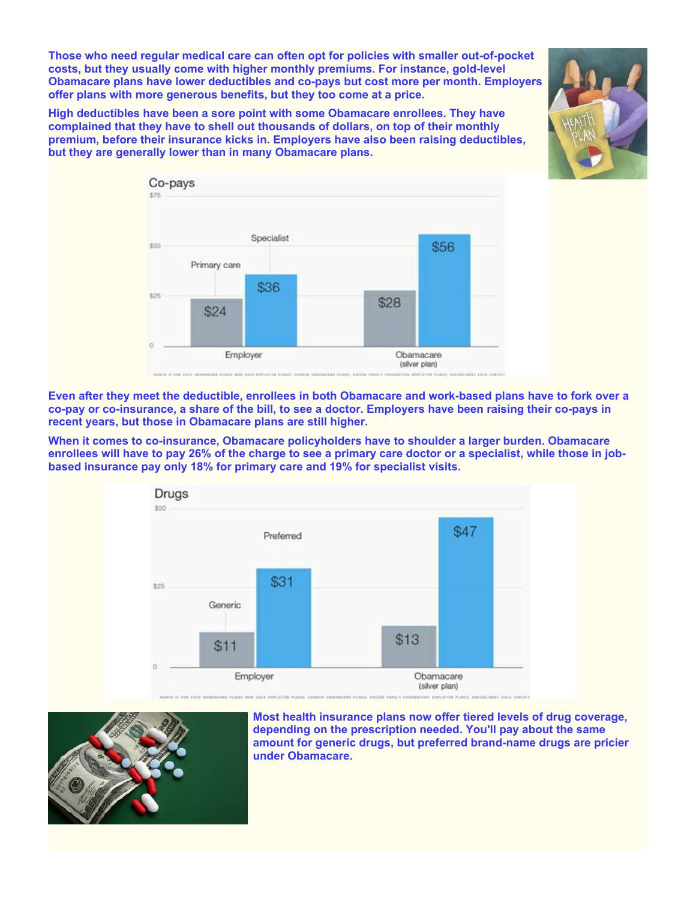**Those who need regular medical care can often opt for policies with smaller out-of-pocket costs, but they usually come with higher monthly premiums. For instance, gold-level Obamacare plans have lower deductibles and co-pays but cost more per month. Employers offer plans with more generous benefits, but they too come at a price.**

**High deductibles have been a sore point with some Obamacare enrollees. They have complained that they have to shell out thousands of dollars, on top of their monthly premium, before their insurance kicks in. Employers have also been raising deductibles, but they are generally lower than in many Obamacare plans.**





**Even after they meet the deductible, enrollees in both Obamacare and work-based plans have to fork over a co-pay or co-insurance, a share of the bill, to see a doctor. Employers have been raising their co-pays in recent years, but those in Obamacare plans are still higher.**

**When it comes to co-insurance, Obamacare policyholders have to shoulder a larger burden. Obamacare enrollees will have to pay 26% of the charge to see a primary care doctor or a specialist, while those in jobbased insurance pay only 18% for primary care and 19% for specialist visits.**





**Most health insurance plans now offer tiered levels of drug coverage, depending on the prescription needed. You'll pay about the same amount for generic drugs, but preferred brand-name drugs are pricier under Obamacare.**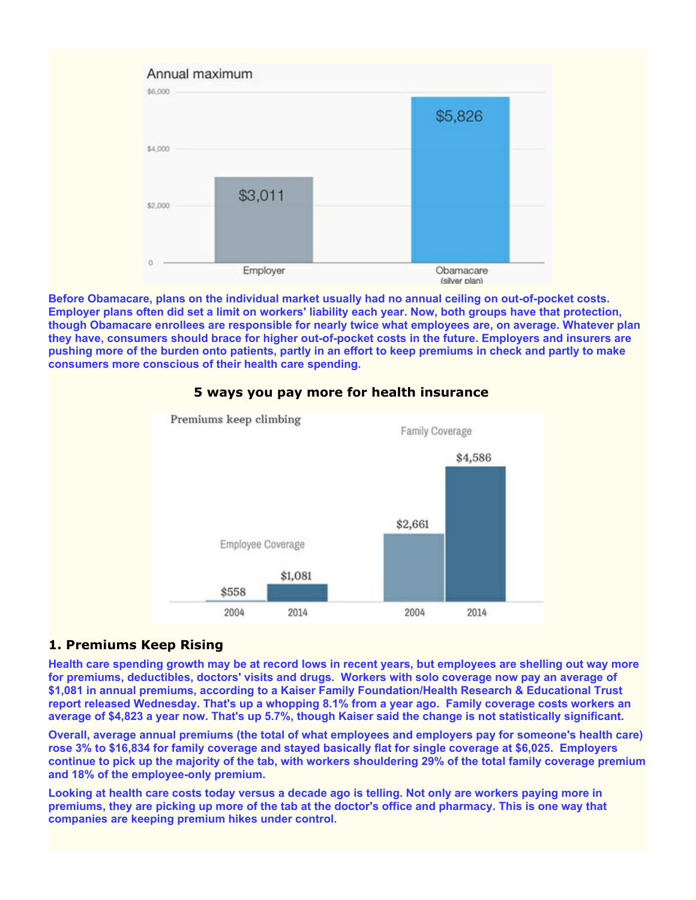

**Before Obamacare, plans on the individual market usually had no annual ceiling on out-of-pocket costs. Employer plans often did set a limit on workers' liability each year. Now, both groups have that protection, though Obamacare enrollees are responsible for nearly twice what employees are, on average. Whatever plan they have, consumers should brace for higher out-of-pocket costs in the future. Employers and insurers are pushing more of the burden onto patients, partly in an effort to keep premiums in check and partly to make consumers more conscious of their health care spending.**



### **5 ways you pay more for health insurance**

### **1. Premiums Keep Rising**

**Health care spending growth may be at record lows in recent years, but employees are shelling out way more for premiums, deductibles, doctors' visits and drugs. Workers with solo coverage now pay an average of \$1,081 in annual premiums, according to a Kaiser Family Foundation/Health Research & Educational Trust report released Wednesday. That's up a whopping 8.1% from a year ago. Family coverage costs workers an average of \$4,823 a year now. That's up 5.7%, though Kaiser said the change is not statistically significant.**

**Overall, average annual premiums (the total of what employees and employers pay for someone's health care) rose 3% to \$16,834 for family coverage and stayed basically flat for single coverage at \$6,025. Employers continue to pick up the majority of the tab, with workers shouldering 29% of the total family coverage premium and 18% of the employee-only premium.**

**Looking at health care costs today versus a decade ago is telling. Not only are workers paying more in premiums, they are picking up more of the tab at the doctor's office and pharmacy. This is one way that companies are keeping premium hikes under control.**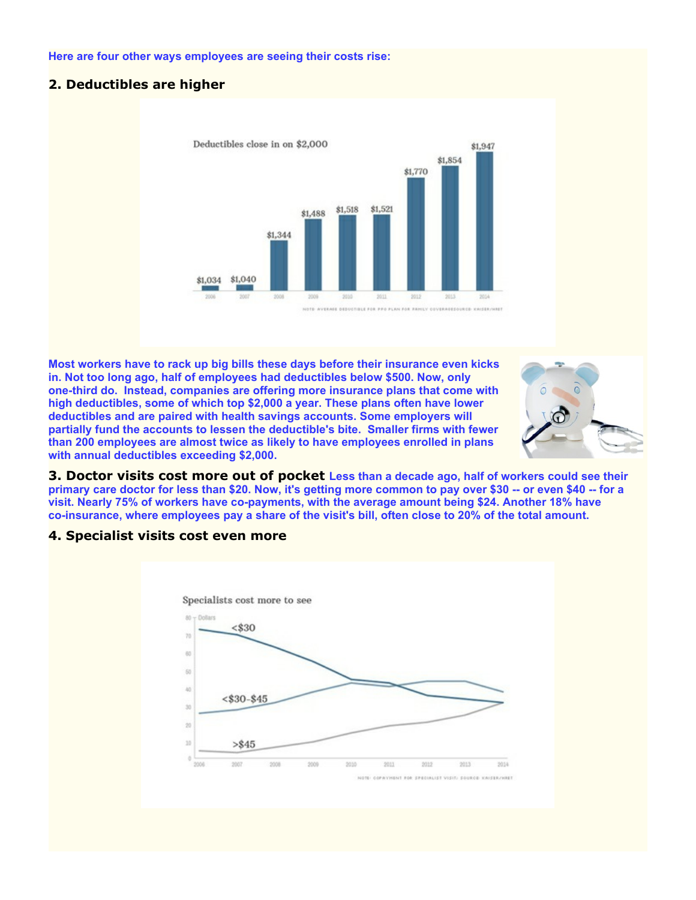**Here are four other ways employees are seeing their costs rise:**

#### **2. Deductibles are higher**



**Most workers have to rack up big bills these days before their insurance even kicks in. Not too long ago, half of employees had deductibles below \$500. Now, only one-third do. Instead, companies are offering more insurance plans that come with high deductibles, some of which top \$2,000 a year. These plans often have lower deductibles and are paired with health savings accounts. Some employers will partially fund the accounts to lessen the deductible's bite. Smaller firms with fewer than 200 employees are almost twice as likely to have employees enrolled in plans with annual deductibles exceeding \$2,000.**



**3. Doctor visits cost more out of pocket Less than a decade ago, half of workers could see their primary care doctor for less than \$20. Now, it's getting more common to pay over \$30 -- or even \$40 -- for a visit. Nearly 75% of workers have co-payments, with the average amount being \$24. Another 18% have co-insurance, where employees pay a share of the visit's bill, often close to 20% of the total amount.**

#### **4. Specialist visits cost even more**